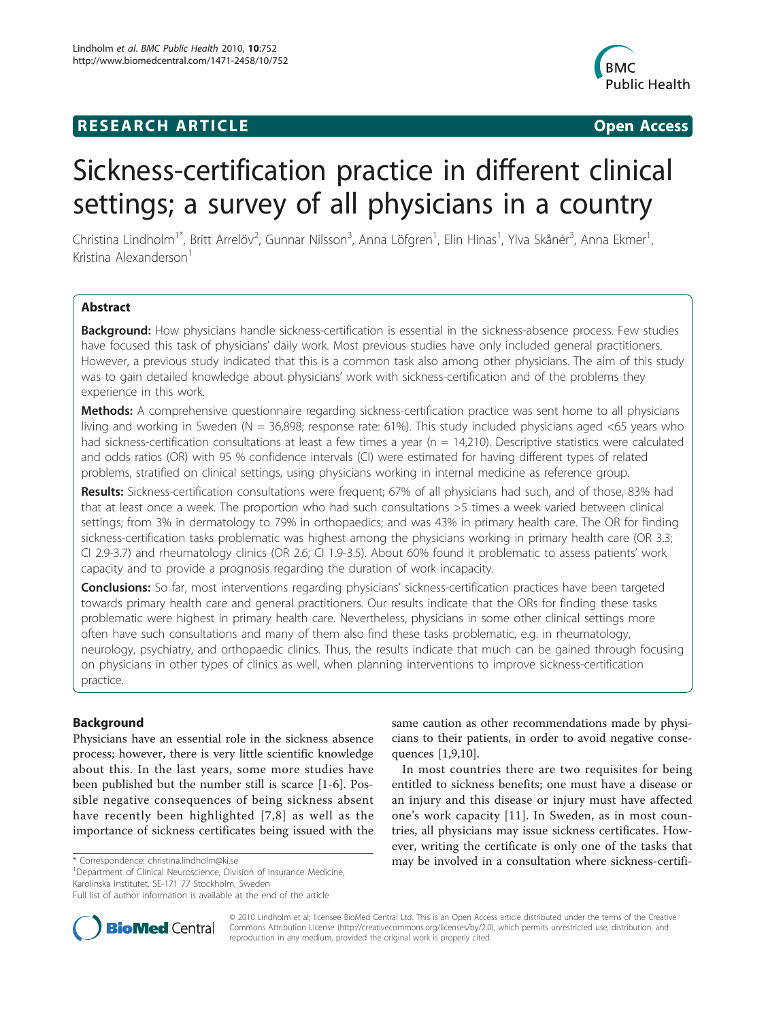# **RESEARCH ARTICLE Example 2018 CONSIDERING ACCESS**



# Sickness-certification practice in different clinical settings; a survey of all physicians in a country

Christina Lindholm<sup>1\*</sup>, Britt Arrelöv<sup>2</sup>, Gunnar Nilsson<sup>3</sup>, Anna Löfgren<sup>1</sup>, Elin Hinas<sup>1</sup>, Ylva Skånér<sup>3</sup>, Anna Ekmer<sup>1</sup> , Kristina Alexanderson<sup>1</sup>

# Abstract

Background: How physicians handle sickness-certification is essential in the sickness-absence process. Few studies have focused this task of physicians' daily work. Most previous studies have only included general practitioners. However, a previous study indicated that this is a common task also among other physicians. The aim of this study was to gain detailed knowledge about physicians' work with sickness-certification and of the problems they experience in this work.

Methods: A comprehensive questionnaire regarding sickness-certification practice was sent home to all physicians living and working in Sweden (N = 36,898; response rate: 61%). This study included physicians aged <65 years who had sickness-certification consultations at least a few times a year ( $n = 14,210$ ). Descriptive statistics were calculated and odds ratios (OR) with 95 % confidence intervals (CI) were estimated for having different types of related problems, stratified on clinical settings, using physicians working in internal medicine as reference group.

Results: Sickness-certification consultations were frequent; 67% of all physicians had such, and of those, 83% had that at least once a week. The proportion who had such consultations >5 times a week varied between clinical settings; from 3% in dermatology to 79% in orthopaedics; and was 43% in primary health care. The OR for finding sickness-certification tasks problematic was highest among the physicians working in primary health care (OR 3.3; CI 2.9-3.7) and rheumatology clinics (OR 2.6; CI 1.9-3.5). About 60% found it problematic to assess patients' work capacity and to provide a prognosis regarding the duration of work incapacity.

**Conclusions:** So far, most interventions regarding physicians' sickness-certification practices have been targeted towards primary health care and general practitioners. Our results indicate that the ORs for finding these tasks problematic were highest in primary health care. Nevertheless, physicians in some other clinical settings more often have such consultations and many of them also find these tasks problematic, e.g. in rheumatology, neurology, psychiatry, and orthopaedic clinics. Thus, the results indicate that much can be gained through focusing on physicians in other types of clinics as well, when planning interventions to improve sickness-certification practice.

# Background

Physicians have an essential role in the sickness absence process; however, there is very little scientific knowledge about this. In the last years, some more studies have been published but the number still is scarce [\[1](#page-8-0)-[6\]](#page-8-0). Possible negative consequences of being sickness absent have recently been highlighted [[7,8\]](#page-8-0) as well as the importance of sickness certificates being issued with the

<sup>1</sup>Department of Clinical Neuroscience, Division of Insurance Medicine, Karolinska Institutet, SE-171 77 Stockholm, Sweden



In most countries there are two requisites for being entitled to sickness benefits; one must have a disease or an injury and this disease or injury must have affected one's work capacity [[11\]](#page-8-0). In Sweden, as in most countries, all physicians may issue sickness certificates. However, writing the certificate is only one of the tasks that \* Correspondence: [christina.lindholm@ki.se](mailto:christina.lindholm@ki.se) may be involved in a consultation where sickness-certifi- <sup>1</sup>



© 2010 Lindholm et al; licensee BioMed Central Ltd. This is an Open Access article distributed under the terms of the Creative Commons Attribution License [\(http://creativecommons.org/licenses/by/2.0](http://creativecommons.org/licenses/by/2.0)), which permits unrestricted use, distribution, and reproduction in any medium, provided the original work is properly cited.

Full list of author information is available at the end of the article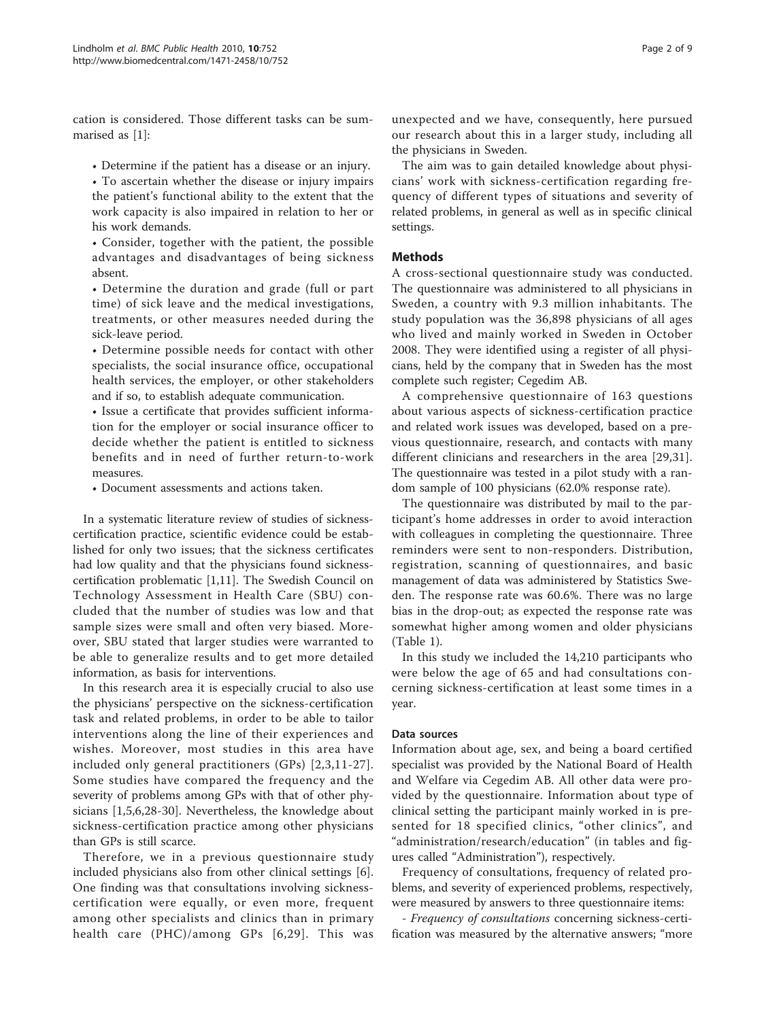cation is considered. Those different tasks can be summarised as [[1](#page-8-0)]:

• Determine if the patient has a disease or an injury.

• To ascertain whether the disease or injury impairs the patient's functional ability to the extent that the work capacity is also impaired in relation to her or his work demands.

• Consider, together with the patient, the possible advantages and disadvantages of being sickness absent.

• Determine the duration and grade (full or part time) of sick leave and the medical investigations, treatments, or other measures needed during the sick-leave period.

• Determine possible needs for contact with other specialists, the social insurance office, occupational health services, the employer, or other stakeholders and if so, to establish adequate communication.

• Issue a certificate that provides sufficient information for the employer or social insurance officer to decide whether the patient is entitled to sickness benefits and in need of further return-to-work measures.

• Document assessments and actions taken.

In a systematic literature review of studies of sicknesscertification practice, scientific evidence could be established for only two issues; that the sickness certificates had low quality and that the physicians found sicknesscertification problematic [[1](#page-8-0),[11](#page-8-0)]. The Swedish Council on Technology Assessment in Health Care (SBU) concluded that the number of studies was low and that sample sizes were small and often very biased. Moreover, SBU stated that larger studies were warranted to be able to generalize results and to get more detailed information, as basis for interventions.

In this research area it is especially crucial to also use the physicians' perspective on the sickness-certification task and related problems, in order to be able to tailor interventions along the line of their experiences and wishes. Moreover, most studies in this area have included only general practitioners (GPs) [[2](#page-8-0),[3,11-27\]](#page-8-0). Some studies have compared the frequency and the severity of problems among GPs with that of other physicians [[1,5,6,28](#page-8-0)-[30\]](#page-8-0). Nevertheless, the knowledge about sickness-certification practice among other physicians than GPs is still scarce.

Therefore, we in a previous questionnaire study included physicians also from other clinical settings [\[6](#page-8-0)]. One finding was that consultations involving sicknesscertification were equally, or even more, frequent among other specialists and clinics than in primary health care (PHC)/among GPs [[6,29](#page-8-0)]. This was

unexpected and we have, consequently, here pursued our research about this in a larger study, including all the physicians in Sweden.

The aim was to gain detailed knowledge about physicians' work with sickness-certification regarding frequency of different types of situations and severity of related problems, in general as well as in specific clinical settings.

# Methods

A cross-sectional questionnaire study was conducted. The questionnaire was administered to all physicians in Sweden, a country with 9.3 million inhabitants. The study population was the 36,898 physicians of all ages who lived and mainly worked in Sweden in October 2008. They were identified using a register of all physicians, held by the company that in Sweden has the most complete such register; Cegedim AB.

A comprehensive questionnaire of 163 questions about various aspects of sickness-certification practice and related work issues was developed, based on a previous questionnaire, research, and contacts with many different clinicians and researchers in the area [[29,31](#page-8-0)]. The questionnaire was tested in a pilot study with a random sample of 100 physicians (62.0% response rate).

The questionnaire was distributed by mail to the participant's home addresses in order to avoid interaction with colleagues in completing the questionnaire. Three reminders were sent to non-responders. Distribution, registration, scanning of questionnaires, and basic management of data was administered by Statistics Sweden. The response rate was 60.6%. There was no large bias in the drop-out; as expected the response rate was somewhat higher among women and older physicians (Table [1\)](#page-2-0).

In this study we included the 14,210 participants who were below the age of 65 and had consultations concerning sickness-certification at least some times in a year.

# Data sources

Information about age, sex, and being a board certified specialist was provided by the National Board of Health and Welfare via Cegedim AB. All other data were provided by the questionnaire. Information about type of clinical setting the participant mainly worked in is presented for 18 specified clinics, "other clinics", and "administration/research/education" (in tables and figures called "Administration"), respectively.

Frequency of consultations, frequency of related problems, and severity of experienced problems, respectively, were measured by answers to three questionnaire items:

- Frequency of consultations concerning sickness-certification was measured by the alternative answers; "more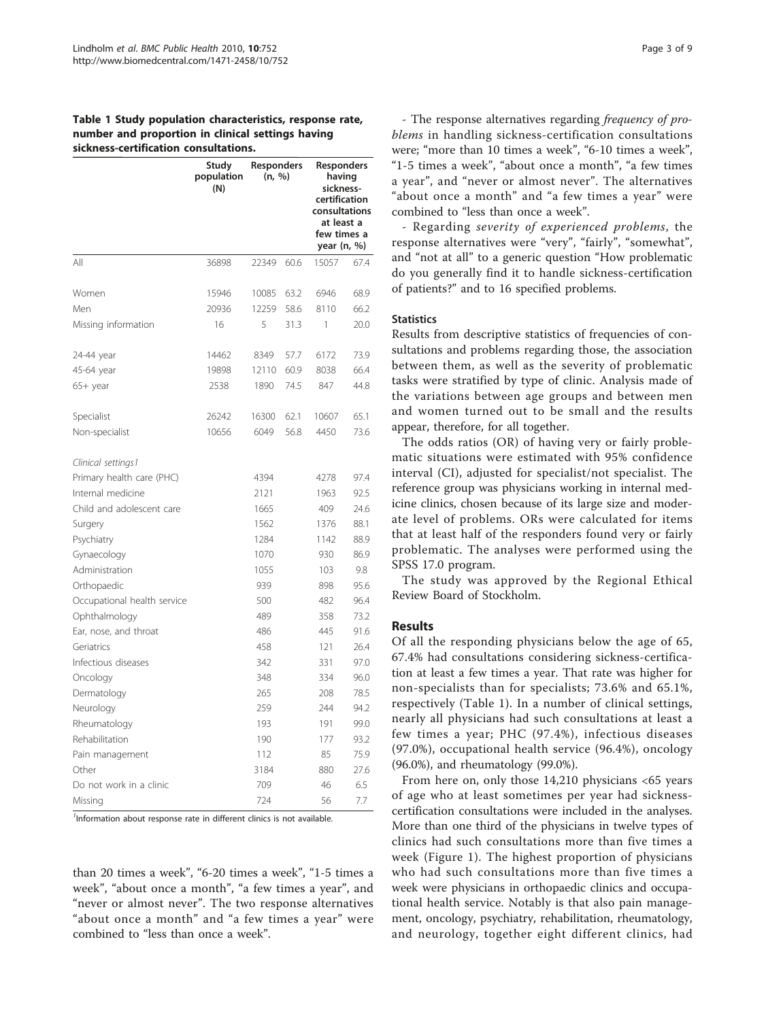<span id="page-2-0"></span>Table 1 Study population characteristics, response rate, number and proportion in clinical settings having sickness-certification consultations.

|                             | Study<br>population<br>(N) | Responders<br>(n, %) |      | Responders<br>having<br>sickness-<br>certification<br>consultations<br>at least a<br>few times a<br>year (n, %) |      |  |
|-----------------------------|----------------------------|----------------------|------|-----------------------------------------------------------------------------------------------------------------|------|--|
| All                         | 36898                      | 22349                | 60.6 | 15057                                                                                                           | 67.4 |  |
| Women                       | 15946                      | 10085                | 63.2 | 6946                                                                                                            | 68.9 |  |
| Men                         | 20936                      | 12259                | 58.6 | 8110                                                                                                            | 66.2 |  |
| Missing information         | 16                         | 5                    | 31.3 | 1                                                                                                               | 20.0 |  |
| 24-44 year                  | 14462                      | 8349                 | 57.7 | 6172                                                                                                            | 73.9 |  |
| 45-64 year                  | 19898                      | 12110                | 60.9 | 8038                                                                                                            | 66.4 |  |
| $65+$ year                  | 2538                       | 1890                 | 74.5 | 847                                                                                                             | 44.8 |  |
| Specialist                  | 26242                      | 16300                | 62.1 | 10607                                                                                                           | 65.1 |  |
| Non-specialist              | 10656                      | 6049                 | 56.8 | 4450                                                                                                            | 73.6 |  |
| Clinical settings1          |                            |                      |      |                                                                                                                 |      |  |
| Primary health care (PHC)   |                            | 4394                 |      | 4278                                                                                                            | 97.4 |  |
| Internal medicine           |                            | 2121                 |      | 1963                                                                                                            | 92.5 |  |
| Child and adolescent care   |                            | 1665                 |      | 409                                                                                                             | 24.6 |  |
| Surgery                     |                            | 1562                 |      | 1376                                                                                                            | 88.1 |  |
| Psychiatry                  |                            | 1284                 |      | 1142                                                                                                            | 88.9 |  |
| Gynaecology                 |                            | 1070                 |      | 930                                                                                                             | 86.9 |  |
| Administration              |                            | 1055                 |      | 103                                                                                                             | 9.8  |  |
| Orthopaedic                 |                            | 939                  |      | 898                                                                                                             | 95.6 |  |
| Occupational health service |                            | 500                  |      | 482                                                                                                             | 96.4 |  |
| Ophthalmology               |                            | 489                  |      | 358                                                                                                             | 73.2 |  |
| Ear, nose, and throat       |                            | 486                  |      | 445                                                                                                             | 91.6 |  |
| Geriatrics                  |                            | 458                  |      | 121                                                                                                             | 26.4 |  |
| Infectious diseases         |                            | 342                  |      | 331                                                                                                             | 97.0 |  |
| Oncology                    |                            | 348                  |      | 334                                                                                                             | 96.0 |  |
| Dermatology                 |                            | 265                  |      | 208                                                                                                             | 78.5 |  |
| Neurology                   |                            | 259                  |      | 244                                                                                                             | 94.2 |  |
| Rheumatology                |                            | 193                  |      | 191                                                                                                             | 99.0 |  |
| Rehabilitation              |                            | 190                  |      | 177                                                                                                             | 93.2 |  |
| Pain management             |                            | 112                  |      | 85                                                                                                              | 75.9 |  |
| Other                       |                            | 3184                 |      | 880                                                                                                             | 27.6 |  |
| Do not work in a clinic     |                            | 709                  |      | 46                                                                                                              | 6.5  |  |
| Missing                     |                            | 724                  |      | 56                                                                                                              | 7.7  |  |

<sup>1</sup>Information about response rate in different clinics is not available.

than 20 times a week", "6-20 times a week", "1-5 times a week", "about once a month", "a few times a year", and "never or almost never". The two response alternatives "about once a month" and "a few times a year" were combined to "less than once a week".

- The response alternatives regarding frequency of problems in handling sickness-certification consultations were; "more than 10 times a week", "6-10 times a week", "1-5 times a week", "about once a month", "a few times a year", and "never or almost never". The alternatives "about once a month" and "a few times a year" were combined to "less than once a week".

- Regarding severity of experienced problems, the response alternatives were "very", "fairly", "somewhat", and "not at all" to a generic question "How problematic do you generally find it to handle sickness-certification of patients?" and to 16 specified problems.

#### **Statistics**

Results from descriptive statistics of frequencies of consultations and problems regarding those, the association between them, as well as the severity of problematic tasks were stratified by type of clinic. Analysis made of the variations between age groups and between men and women turned out to be small and the results appear, therefore, for all together.

The odds ratios (OR) of having very or fairly problematic situations were estimated with 95% confidence interval (CI), adjusted for specialist/not specialist. The reference group was physicians working in internal medicine clinics, chosen because of its large size and moderate level of problems. ORs were calculated for items that at least half of the responders found very or fairly problematic. The analyses were performed using the SPSS 17.0 program.

The study was approved by the Regional Ethical Review Board of Stockholm.

#### Results

Of all the responding physicians below the age of 65, 67.4% had consultations considering sickness-certification at least a few times a year. That rate was higher for non-specialists than for specialists; 73.6% and 65.1%, respectively (Table 1). In a number of clinical settings, nearly all physicians had such consultations at least a few times a year; PHC (97.4%), infectious diseases (97.0%), occupational health service (96.4%), oncology (96.0%), and rheumatology (99.0%).

From here on, only those 14,210 physicians <65 years of age who at least sometimes per year had sicknesscertification consultations were included in the analyses. More than one third of the physicians in twelve types of clinics had such consultations more than five times a week (Figure [1\)](#page-3-0). The highest proportion of physicians who had such consultations more than five times a week were physicians in orthopaedic clinics and occupational health service. Notably is that also pain management, oncology, psychiatry, rehabilitation, rheumatology, and neurology, together eight different clinics, had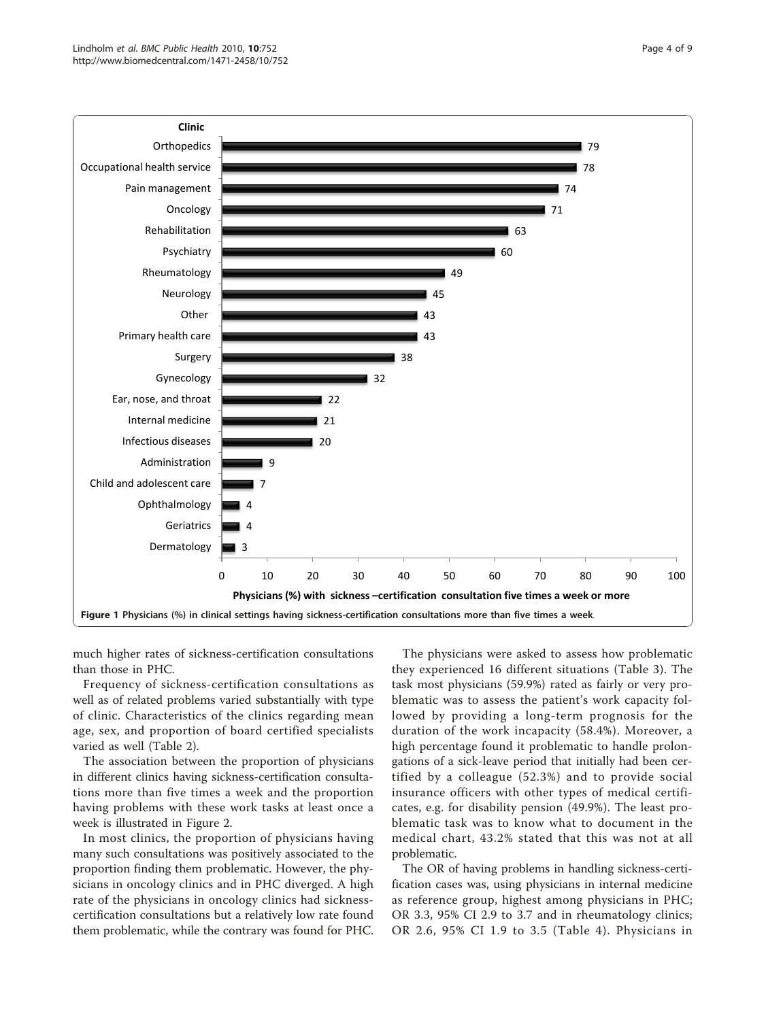<span id="page-3-0"></span>

much higher rates of sickness-certification consultations than those in PHC.

Frequency of sickness-certification consultations as well as of related problems varied substantially with type of clinic. Characteristics of the clinics regarding mean age, sex, and proportion of board certified specialists varied as well (Table [2\)](#page-4-0).

The association between the proportion of physicians in different clinics having sickness-certification consultations more than five times a week and the proportion having problems with these work tasks at least once a week is illustrated in Figure [2.](#page-5-0)

In most clinics, the proportion of physicians having many such consultations was positively associated to the proportion finding them problematic. However, the physicians in oncology clinics and in PHC diverged. A high rate of the physicians in oncology clinics had sicknesscertification consultations but a relatively low rate found them problematic, while the contrary was found for PHC.

The physicians were asked to assess how problematic they experienced 16 different situations (Table [3](#page-6-0)). The task most physicians (59.9%) rated as fairly or very problematic was to assess the patient's work capacity followed by providing a long-term prognosis for the duration of the work incapacity (58.4%). Moreover, a high percentage found it problematic to handle prolongations of a sick-leave period that initially had been certified by a colleague (52.3%) and to provide social insurance officers with other types of medical certificates, e.g. for disability pension (49.9%). The least problematic task was to know what to document in the medical chart, 43.2% stated that this was not at all problematic.

The OR of having problems in handling sickness-certification cases was, using physicians in internal medicine as reference group, highest among physicians in PHC; OR 3.3, 95% CI 2.9 to 3.7 and in rheumatology clinics; OR 2.6, 95% CI 1.9 to 3.5 (Table [4\)](#page-7-0). Physicians in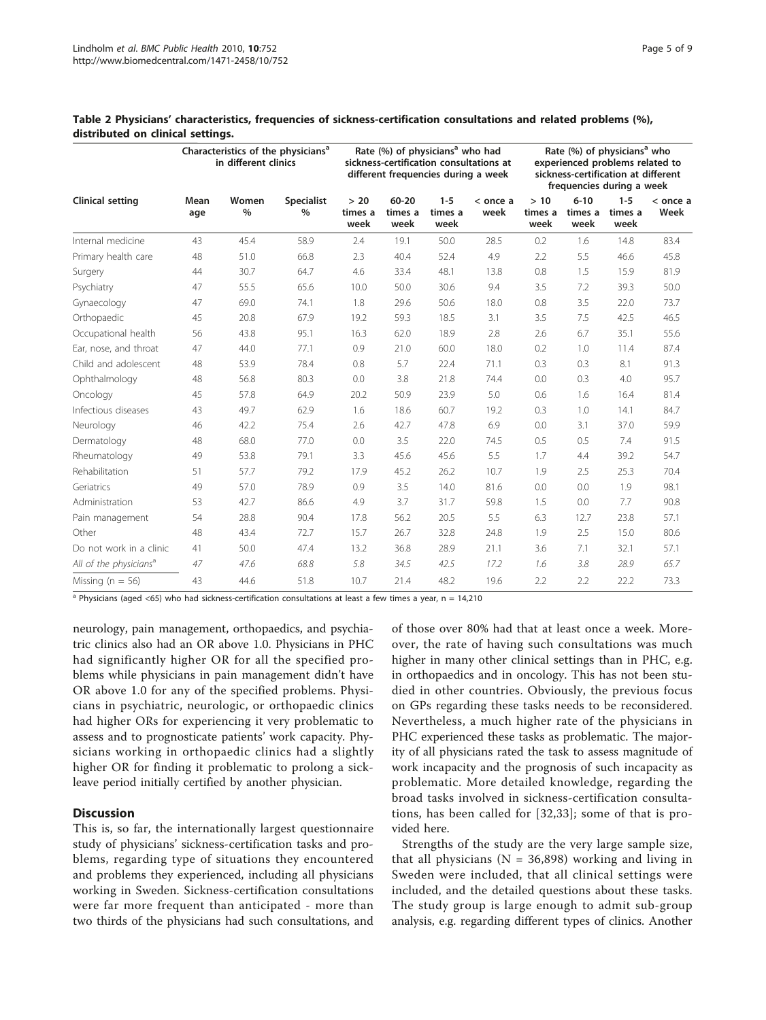## <span id="page-4-0"></span>Table 2 Physicians' characteristics, frequencies of sickness-certification consultations and related problems (%), distributed on clinical settings.

|                                    |             | in different clinics | Characteristics of the physicians <sup>a</sup> |                         |                          | Rate (%) of physicians <sup>a</sup> who had<br>different frequencies during a week | sickness-certification consultations at | Rate (%) of physicians <sup>a</sup> who<br>experienced problems related to<br>sickness-certification at different<br>frequencies during a week |                             |                            |                    |
|------------------------------------|-------------|----------------------|------------------------------------------------|-------------------------|--------------------------|------------------------------------------------------------------------------------|-----------------------------------------|------------------------------------------------------------------------------------------------------------------------------------------------|-----------------------------|----------------------------|--------------------|
| Clinical setting                   | Mean<br>age | Women<br>$\%$        | <b>Specialist</b><br>$\%$                      | > 20<br>times a<br>week | 60-20<br>times a<br>week | $1 - 5$<br>times a<br>week                                                         | $<$ once a<br>week                      | $>10$<br>times a<br>week                                                                                                                       | $6 - 10$<br>times a<br>week | $1 - 5$<br>times a<br>week | $<$ once a<br>Week |
| Internal medicine                  | 43          | 45.4                 | 58.9                                           | 2.4                     | 19.1                     | 50.0                                                                               | 28.5                                    | 0.2                                                                                                                                            | 1.6                         | 14.8                       | 83.4               |
| Primary health care                | 48          | 51.0                 | 66.8                                           | 2.3                     | 40.4                     | 52.4                                                                               | 4.9                                     | 2.2                                                                                                                                            | 5.5                         | 46.6                       | 45.8               |
| Surgery                            | 44          | 30.7                 | 64.7                                           | 4.6                     | 33.4                     | 48.1                                                                               | 13.8                                    | 0.8                                                                                                                                            | 1.5                         | 15.9                       | 81.9               |
| Psychiatry                         | 47          | 55.5                 | 65.6                                           | 10.0                    | 50.0                     | 30.6                                                                               | 9.4                                     | 3.5                                                                                                                                            | 7.2                         | 39.3                       | 50.0               |
| Gynaecology                        | 47          | 69.0                 | 74.1                                           | 1.8                     | 29.6                     | 50.6                                                                               | 18.0                                    | 0.8                                                                                                                                            | 3.5                         | 22.0                       | 73.7               |
| Orthopaedic                        | 45          | 20.8                 | 67.9                                           | 19.2                    | 59.3                     | 18.5                                                                               | 3.1                                     | 3.5                                                                                                                                            | 7.5                         | 42.5                       | 46.5               |
| Occupational health                | 56          | 43.8                 | 95.1                                           | 16.3                    | 62.0                     | 18.9                                                                               | 2.8                                     | 2.6                                                                                                                                            | 6.7                         | 35.1                       | 55.6               |
| Ear, nose, and throat              | 47          | 44.0                 | 77.1                                           | 0.9                     | 21.0                     | 60.0                                                                               | 18.0                                    | 0.2                                                                                                                                            | 1.0                         | 11.4                       | 87.4               |
| Child and adolescent               | 48          | 53.9                 | 78.4                                           | 0.8                     | 5.7                      | 22.4                                                                               | 71.1                                    | 0.3                                                                                                                                            | 0.3                         | 8.1                        | 91.3               |
| Ophthalmology                      | 48          | 56.8                 | 80.3                                           | 0.0                     | 3.8                      | 21.8                                                                               | 74.4                                    | 0.0                                                                                                                                            | 0.3                         | 4.0                        | 95.7               |
| Oncology                           | 45          | 57.8                 | 64.9                                           | 20.2                    | 50.9                     | 23.9                                                                               | 5.0                                     | 0.6                                                                                                                                            | 1.6                         | 16.4                       | 81.4               |
| Infectious diseases                | 43          | 49.7                 | 62.9                                           | 1.6                     | 18.6                     | 60.7                                                                               | 19.2                                    | 0.3                                                                                                                                            | 1.0                         | 14.1                       | 84.7               |
| Neurology                          | 46          | 42.2                 | 75.4                                           | 2.6                     | 42.7                     | 47.8                                                                               | 6.9                                     | 0.0                                                                                                                                            | 3.1                         | 37.0                       | 59.9               |
| Dermatology                        | 48          | 68.0                 | 77.0                                           | 0.0                     | 3.5                      | 22.0                                                                               | 74.5                                    | 0.5                                                                                                                                            | 0.5                         | 7.4                        | 91.5               |
| Rheumatology                       | 49          | 53.8                 | 79.1                                           | 3.3                     | 45.6                     | 45.6                                                                               | 5.5                                     | 1.7                                                                                                                                            | 4.4                         | 39.2                       | 54.7               |
| Rehabilitation                     | 51          | 57.7                 | 79.2                                           | 17.9                    | 45.2                     | 26.2                                                                               | 10.7                                    | 1.9                                                                                                                                            | 2.5                         | 25.3                       | 70.4               |
| Geriatrics                         | 49          | 57.0                 | 78.9                                           | 0.9                     | 3.5                      | 14.0                                                                               | 81.6                                    | 0.0                                                                                                                                            | 0.0                         | 1.9                        | 98.1               |
| Administration                     | 53          | 42.7                 | 86.6                                           | 4.9                     | 3.7                      | 31.7                                                                               | 59.8                                    | 1.5                                                                                                                                            | 0.0                         | 7.7                        | 90.8               |
| Pain management                    | 54          | 28.8                 | 90.4                                           | 17.8                    | 56.2                     | 20.5                                                                               | 5.5                                     | 6.3                                                                                                                                            | 12.7                        | 23.8                       | 57.1               |
| Other                              | 48          | 43.4                 | 72.7                                           | 15.7                    | 26.7                     | 32.8                                                                               | 24.8                                    | 1.9                                                                                                                                            | 2.5                         | 15.0                       | 80.6               |
| Do not work in a clinic            | 41          | 50.0                 | 47.4                                           | 13.2                    | 36.8                     | 28.9                                                                               | 21.1                                    | 3.6                                                                                                                                            | 7.1                         | 32.1                       | 57.1               |
| All of the physicians <sup>a</sup> | 47          | 47.6                 | 68.8                                           | 5.8                     | 34.5                     | 42.5                                                                               | 17.2                                    | 1.6                                                                                                                                            | 3.8                         | 28.9                       | 65.7               |
| Missing ( $n = 56$ )               | 43          | 44.6                 | 51.8                                           | 10.7                    | 21.4                     | 48.2                                                                               | 19.6                                    | 2.2                                                                                                                                            | 2.2                         | 22.2                       | 73.3               |

<sup>a</sup> Physicians (aged <65) who had sickness-certification consultations at least a few times a year,  $n = 14,210$ 

neurology, pain management, orthopaedics, and psychiatric clinics also had an OR above 1.0. Physicians in PHC had significantly higher OR for all the specified problems while physicians in pain management didn't have OR above 1.0 for any of the specified problems. Physicians in psychiatric, neurologic, or orthopaedic clinics had higher ORs for experiencing it very problematic to assess and to prognosticate patients' work capacity. Physicians working in orthopaedic clinics had a slightly higher OR for finding it problematic to prolong a sickleave period initially certified by another physician.

# **Discussion**

This is, so far, the internationally largest questionnaire study of physicians' sickness-certification tasks and problems, regarding type of situations they encountered and problems they experienced, including all physicians working in Sweden. Sickness-certification consultations were far more frequent than anticipated - more than two thirds of the physicians had such consultations, and

of those over 80% had that at least once a week. Moreover, the rate of having such consultations was much higher in many other clinical settings than in PHC, e.g. in orthopaedics and in oncology. This has not been studied in other countries. Obviously, the previous focus on GPs regarding these tasks needs to be reconsidered. Nevertheless, a much higher rate of the physicians in PHC experienced these tasks as problematic. The majority of all physicians rated the task to assess magnitude of work incapacity and the prognosis of such incapacity as problematic. More detailed knowledge, regarding the broad tasks involved in sickness-certification consultations, has been called for [[32](#page-8-0),[33\]](#page-8-0); some of that is provided here.

Strengths of the study are the very large sample size, that all physicians ( $N = 36,898$ ) working and living in Sweden were included, that all clinical settings were included, and the detailed questions about these tasks. The study group is large enough to admit sub-group analysis, e.g. regarding different types of clinics. Another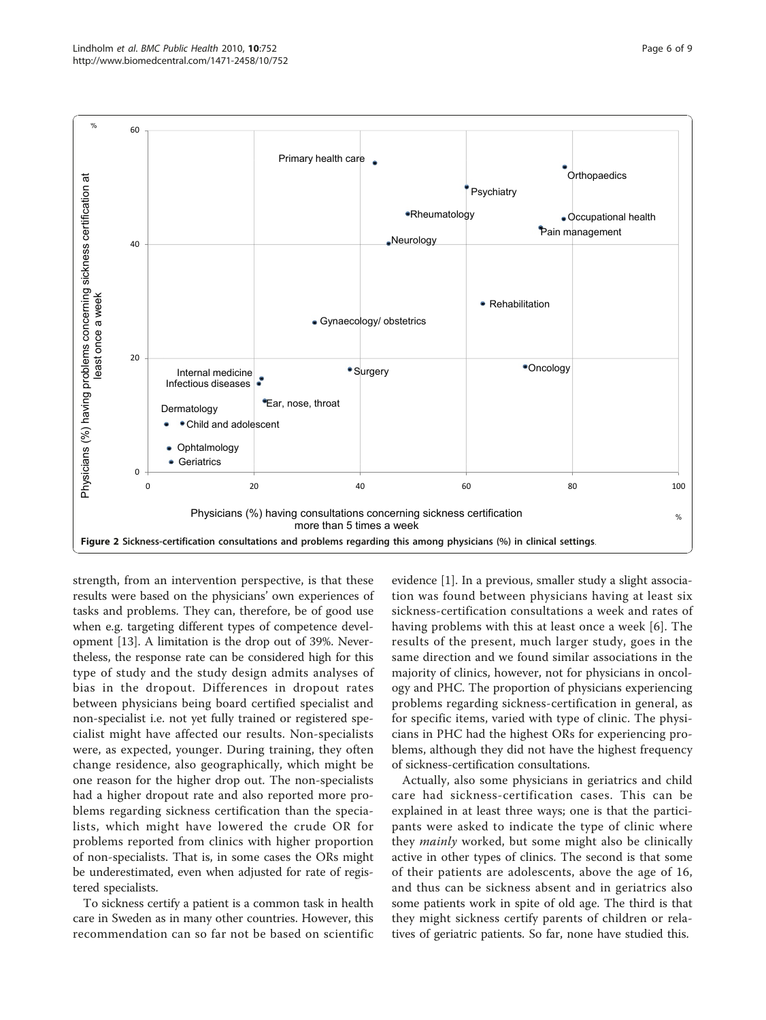<span id="page-5-0"></span>

strength, from an intervention perspective, is that these results were based on the physicians' own experiences of tasks and problems. They can, therefore, be of good use when e.g. targeting different types of competence development [\[13](#page-8-0)]. A limitation is the drop out of 39%. Nevertheless, the response rate can be considered high for this type of study and the study design admits analyses of bias in the dropout. Differences in dropout rates between physicians being board certified specialist and non-specialist i.e. not yet fully trained or registered specialist might have affected our results. Non-specialists were, as expected, younger. During training, they often change residence, also geographically, which might be one reason for the higher drop out. The non-specialists had a higher dropout rate and also reported more problems regarding sickness certification than the specialists, which might have lowered the crude OR for problems reported from clinics with higher proportion of non-specialists. That is, in some cases the ORs might be underestimated, even when adjusted for rate of registered specialists.

To sickness certify a patient is a common task in health care in Sweden as in many other countries. However, this recommendation can so far not be based on scientific evidence [[1\]](#page-8-0). In a previous, smaller study a slight association was found between physicians having at least six sickness-certification consultations a week and rates of having problems with this at least once a week [\[6](#page-8-0)]. The results of the present, much larger study, goes in the same direction and we found similar associations in the majority of clinics, however, not for physicians in oncology and PHC. The proportion of physicians experiencing problems regarding sickness-certification in general, as for specific items, varied with type of clinic. The physicians in PHC had the highest ORs for experiencing problems, although they did not have the highest frequency of sickness-certification consultations.

Actually, also some physicians in geriatrics and child care had sickness-certification cases. This can be explained in at least three ways; one is that the participants were asked to indicate the type of clinic where they *mainly* worked, but some might also be clinically active in other types of clinics. The second is that some of their patients are adolescents, above the age of 16, and thus can be sickness absent and in geriatrics also some patients work in spite of old age. The third is that they might sickness certify parents of children or relatives of geriatric patients. So far, none have studied this.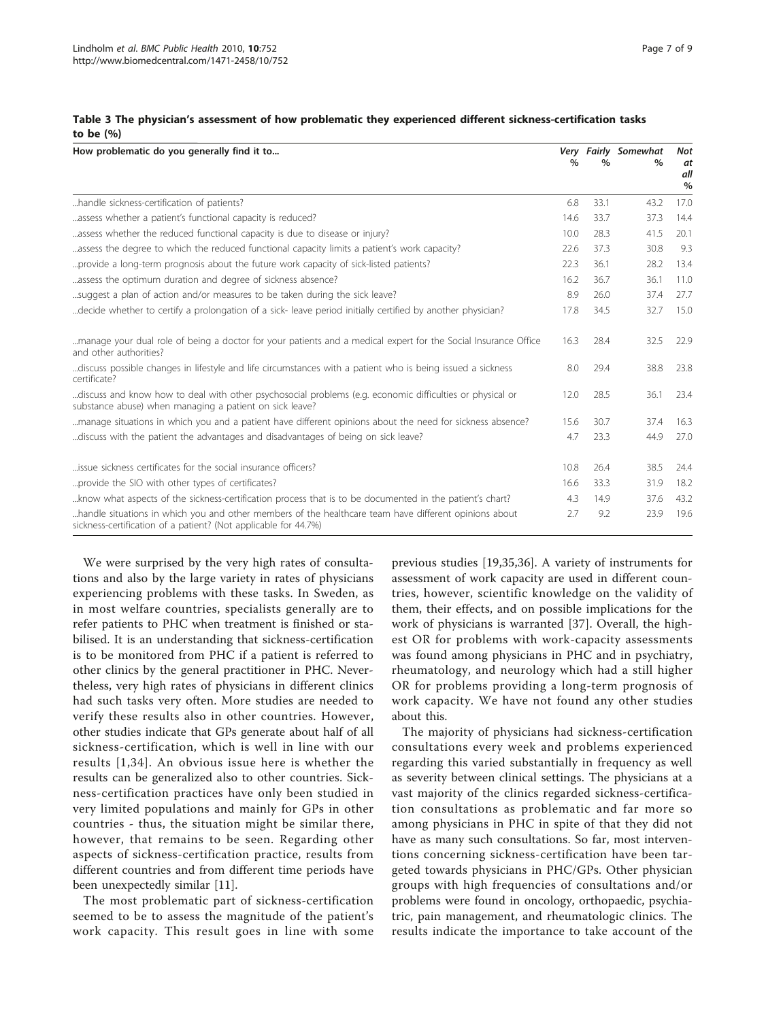<span id="page-6-0"></span>

| Table 3 The physician's assessment of how problematic they experienced different sickness-certification tasks |  |  |  |
|---------------------------------------------------------------------------------------------------------------|--|--|--|
| to be $(% )$                                                                                                  |  |  |  |

| How problematic do you generally find it to                                                                                                                              | $\%$ | $\frac{0}{0}$ | Very Fairly Somewhat<br>$\%$ | <b>Not</b><br>at<br>all<br>$\%$ |
|--------------------------------------------------------------------------------------------------------------------------------------------------------------------------|------|---------------|------------------------------|---------------------------------|
| handle sickness-certification of patients?                                                                                                                               | 6.8  | 33.1          | 43.2                         | 17.0                            |
| assess whether a patient's functional capacity is reduced?                                                                                                               | 14.6 | 33.7          | 37.3                         | 14.4                            |
| assess whether the reduced functional capacity is due to disease or injury?                                                                                              | 10.0 | 28.3          | 41.5                         | 20.1                            |
| assess the degree to which the reduced functional capacity limits a patient's work capacity?                                                                             | 22.6 | 37.3          | 30.8                         | 9.3                             |
| provide a long-term prognosis about the future work capacity of sick-listed patients?                                                                                    | 22.3 | 36.1          | 28.2                         | 13.4                            |
| assess the optimum duration and degree of sickness absence?                                                                                                              | 16.2 | 36.7          | 36.1                         | 11.0                            |
| suggest a plan of action and/or measures to be taken during the sick leave?                                                                                              | 8.9  | 26.0          | 37.4                         | 27.7                            |
| decide whether to certify a prolongation of a sick-leave period initially certified by another physician?                                                                | 17.8 | 34.5          | 32.7                         | 15.0                            |
| manage your dual role of being a doctor for your patients and a medical expert for the Social Insurance Office<br>and other authorities?                                 | 16.3 | 28.4          | 32.5                         | 22.9                            |
| discuss possible changes in lifestyle and life circumstances with a patient who is being issued a sickness<br>certificate?                                               | 8.0  | 29.4          | 38.8                         | 23.8                            |
| discuss and know how to deal with other psychosocial problems (e.g. economic difficulties or physical or<br>substance abuse) when managing a patient on sick leave?      | 12.0 | 28.5          | 36.1                         | 23.4                            |
| manage situations in which you and a patient have different opinions about the need for sickness absence?                                                                | 15.6 | 30.7          | 37.4                         | 16.3                            |
| discuss with the patient the advantages and disadvantages of being on sick leave?                                                                                        | 4.7  | 23.3          | 44.9                         | 27.0                            |
| issue sickness certificates for the social insurance officers?                                                                                                           | 10.8 | 26.4          | 38.5                         | 24.4                            |
| provide the SIO with other types of certificates?                                                                                                                        | 16.6 | 33.3          | 31.9                         | 18.2                            |
| know what aspects of the sickness-certification process that is to be documented in the patient's chart?                                                                 | 4.3  | 14.9          | 37.6                         | 43.2                            |
| handle situations in which you and other members of the healthcare team have different opinions about<br>sickness-certification of a patient? (Not applicable for 44.7%) | 2.7  | 9.2           | 23.9                         | 19.6                            |

We were surprised by the very high rates of consultations and also by the large variety in rates of physicians experiencing problems with these tasks. In Sweden, as in most welfare countries, specialists generally are to refer patients to PHC when treatment is finished or stabilised. It is an understanding that sickness-certification is to be monitored from PHC if a patient is referred to other clinics by the general practitioner in PHC. Nevertheless, very high rates of physicians in different clinics had such tasks very often. More studies are needed to verify these results also in other countries. However, other studies indicate that GPs generate about half of all sickness-certification, which is well in line with our results [[1,34](#page-8-0)]. An obvious issue here is whether the results can be generalized also to other countries. Sickness-certification practices have only been studied in very limited populations and mainly for GPs in other countries - thus, the situation might be similar there, however, that remains to be seen. Regarding other aspects of sickness-certification practice, results from different countries and from different time periods have been unexpectedly similar [[11\]](#page-8-0).

The most problematic part of sickness-certification seemed to be to assess the magnitude of the patient's work capacity. This result goes in line with some

previous studies [\[19,35](#page-8-0),[36](#page-8-0)]. A variety of instruments for assessment of work capacity are used in different countries, however, scientific knowledge on the validity of them, their effects, and on possible implications for the work of physicians is warranted [\[37](#page-8-0)]. Overall, the highest OR for problems with work-capacity assessments was found among physicians in PHC and in psychiatry, rheumatology, and neurology which had a still higher OR for problems providing a long-term prognosis of work capacity. We have not found any other studies about this.

The majority of physicians had sickness-certification consultations every week and problems experienced regarding this varied substantially in frequency as well as severity between clinical settings. The physicians at a vast majority of the clinics regarded sickness-certification consultations as problematic and far more so among physicians in PHC in spite of that they did not have as many such consultations. So far, most interventions concerning sickness-certification have been targeted towards physicians in PHC/GPs. Other physician groups with high frequencies of consultations and/or problems were found in oncology, orthopaedic, psychiatric, pain management, and rheumatologic clinics. The results indicate the importance to take account of the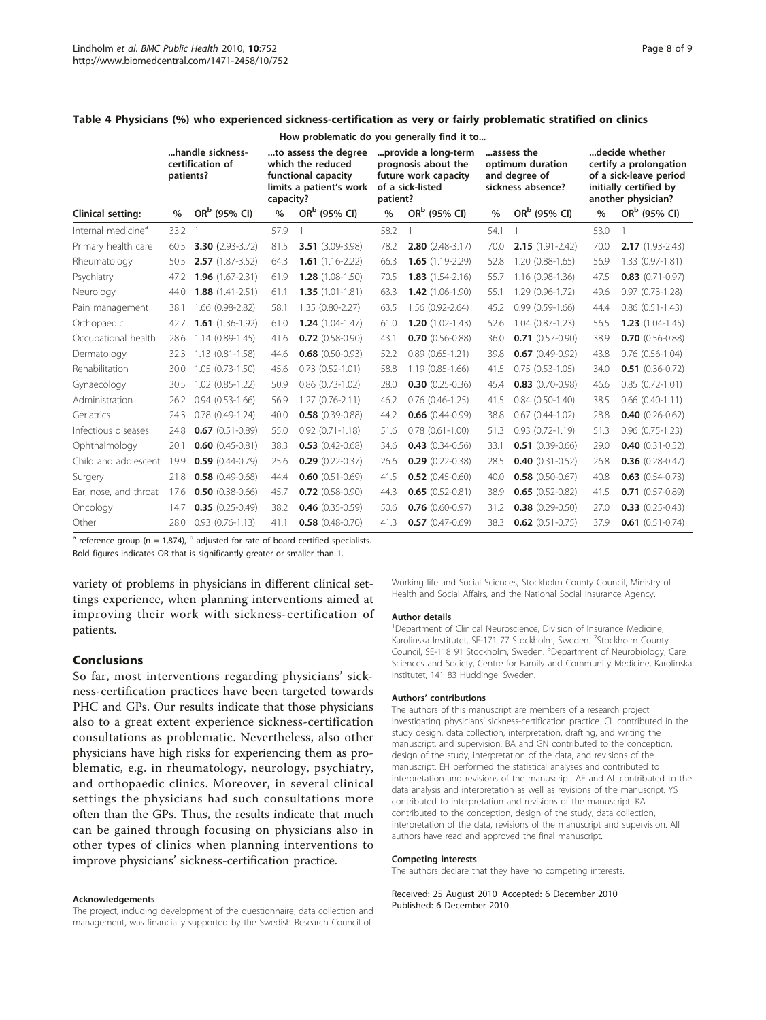| How problematic do you generally find it to |               |                                      |                                                                                                          |                          |          |                                                                                        |      |                                                                      |                                                                                                                    |                          |
|---------------------------------------------|---------------|--------------------------------------|----------------------------------------------------------------------------------------------------------|--------------------------|----------|----------------------------------------------------------------------------------------|------|----------------------------------------------------------------------|--------------------------------------------------------------------------------------------------------------------|--------------------------|
|                                             | patients?     | handle sickness-<br>certification of | to assess the degree<br>which the reduced<br>functional capacity<br>limits a patient's work<br>capacity? |                          | patient? | provide a long-term<br>prognosis about the<br>future work capacity<br>of a sick-listed |      | assess the<br>optimum duration<br>and degree of<br>sickness absence? | decide whether<br>certify a prolongation<br>of a sick-leave period<br>initially certified by<br>another physician? |                          |
| Clinical setting:                           | $\frac{0}{0}$ | OR <sup>b</sup> (95% CI)             | $\%$                                                                                                     | OR <sup>b</sup> (95% CI) | $\%$     | OR <sup>b</sup> (95% CI)                                                               | %    | OR <sup>b</sup> (95% CI)                                             | %                                                                                                                  | OR <sup>b</sup> (95% CI) |
| Internal medicine <sup>a</sup>              | 33.2          | $\mathbf{1}$                         | 57.9                                                                                                     |                          | 58.2     |                                                                                        | 54.1 | 1                                                                    | 53.0                                                                                                               |                          |
| Primary health care                         | 60.5          | $3.30$ (2.93-3.72)                   | 81.5                                                                                                     | 3.51 (3.09-3.98)         | 78.2     | $2.80(2.48-3.17)$                                                                      | 70.0 | $2.15(1.91-2.42)$                                                    | 70.0                                                                                                               | $2.17(1.93 - 2.43)$      |
| Rheumatology                                | 50.5          | $2.57(1.87 - 3.52)$                  | 64.3                                                                                                     | $1.61(1.16-2.22)$        | 66.3     | $1.65(1.19-2.29)$                                                                      | 52.8 | $1.20(0.88-1.65)$                                                    | 56.9                                                                                                               | 1.33 (0.97-1.81)         |
| Psychiatry                                  | 47.2          | $1.96(1.67-2.31)$                    | 61.9                                                                                                     | $1.28(1.08-1.50)$        | 70.5     | $1.83(1.54-2.16)$                                                                      | 55.7 | 1.16 (0.98-1.36)                                                     | 47.5                                                                                                               | $0.83$ (0.71-0.97)       |
| Neurology                                   | 44.0          | $1.88(1.41 - 2.51)$                  | 61.1                                                                                                     | $1.35(1.01-1.81)$        | 63.3     | $1.42(1.06-1.90)$                                                                      | 55.1 | 1.29 (0.96-1.72)                                                     | 49.6                                                                                                               | $0.97(0.73-1.28)$        |
| Pain management                             | 38.1          | 1.66 (0.98-2.82)                     | 58.1                                                                                                     | 1.35 (0.80-2.27)         | 63.5     | 1.56 (0.92-2.64)                                                                       | 45.2 | $0.99(0.59-1.66)$                                                    | 44.4                                                                                                               | $0.86$ $(0.51 - 1.43)$   |
| Orthopaedic                                 | 42.7          | $1.61(1.36-1.92)$                    | 61.0                                                                                                     | $1.24(1.04-1.47)$        | 61.0     | $1.20(1.02-1.43)$                                                                      | 52.6 | $1.04(0.87 - 1.23)$                                                  | 56.5                                                                                                               | $1.23(1.04-1.45)$        |
| Occupational health                         | 28.6          | $1.14(0.89-1.45)$                    | 41.6                                                                                                     | $0.72$ (0.58-0.90)       | 43.1     | $0.70$ (0.56-0.88)                                                                     | 36.0 | $0.71$ (0.57-0.90)                                                   | 38.9                                                                                                               | $0.70$ (0.56-0.88)       |
| Dermatology                                 | 32.3          | $1.13(0.81 - 1.58)$                  | 44.6                                                                                                     | $0.68$ (0.50-0.93)       | 52.2     | $0.89(0.65 - 1.21)$                                                                    | 39.8 | $0.67$ (0.49-0.92)                                                   | 43.8                                                                                                               | $0.76$ $(0.56 - 1.04)$   |
| Rehabilitation                              | 30.0          | $1.05(0.73-1.50)$                    | 45.6                                                                                                     | $0.73(0.52 - 1.01)$      | 58.8     | $1.19(0.85 - 1.66)$                                                                    | 41.5 | $0.75(0.53 - 1.05)$                                                  | 34.0                                                                                                               | $0.51$ (0.36-0.72)       |
| Gynaecology                                 | 30.5          | $1.02$ $(0.85 - 1.22)$               | 50.9                                                                                                     | $0.86$ $(0.73-1.02)$     | 28.0     | $0.30$ (0.25-0.36)                                                                     | 45.4 | $0.83$ (0.70-0.98)                                                   | 46.6                                                                                                               | $0.85(0.72 - 1.01)$      |
| Administration                              | 26.2          | $0.94(0.53-1.66)$                    | 56.9                                                                                                     | $1.27(0.76-2.11)$        | 46.2     | $0.76$ $(0.46 - 1.25)$                                                                 | 41.5 | $0.84$ $(0.50-1.40)$                                                 | 38.5                                                                                                               | $0.66$ $(0.40-1.11)$     |
| Geriatrics                                  | 24.3          | $0.78$ $(0.49-1.24)$                 | 40.0                                                                                                     | $0.58$ (0.39-0.88)       | 44.2     | $0.66$ (0.44-0.99)                                                                     | 38.8 | $0.67$ $(0.44 - 1.02)$                                               | 28.8                                                                                                               | $0.40$ (0.26-0.62)       |
| Infectious diseases                         | 24.8          | $0.67$ (0.51-0.89)                   | 55.0                                                                                                     | $0.92(0.71-1.18)$        | 51.6     | $0.78(0.61 - 1.00)$                                                                    | 51.3 | $0.93(0.72 - 1.19)$                                                  | 51.3                                                                                                               | $0.96$ $(0.75-1.23)$     |
| Ophthalmology                               | 20.1          | $0.60$ (0.45-0.81)                   | 38.3                                                                                                     | $0.53$ (0.42-0.68)       | 34.6     | $0.43$ (0.34-0.56)                                                                     | 33.1 | $0.51$ (0.39-0.66)                                                   | 29.0                                                                                                               | $0.40$ (0.31-0.52)       |
| Child and adolescent                        | 19.9          | $0.59$ (0.44-0.79)                   | 25.6                                                                                                     | $0.29$ (0.22-0.37)       | 26.6     | $0.29$ (0.22-0.38)                                                                     | 28.5 | $0.40$ (0.31-0.52)                                                   | 26.8                                                                                                               | $0.36$ (0.28-0.47)       |
| Surgery                                     | 21.8          | $0.58$ (0.49-0.68)                   | 44.4                                                                                                     | $0.60$ (0.51-0.69)       | 41.5     | $0.52$ (0.45-0.60)                                                                     | 40.0 | $0.58$ (0.50-0.67)                                                   | 40.8                                                                                                               | $0.63$ (0.54-0.73)       |
| Ear, nose, and throat                       | 17.6          | $0.50$ (0.38-0.66)                   | 45.7                                                                                                     | $0.72$ (0.58-0.90)       | 44.3     | $0.65(0.52-0.81)$                                                                      | 38.9 | $0.65$ (0.52-0.82)                                                   | 41.5                                                                                                               | $0.71$ (0.57-0.89)       |
| Oncology                                    | 14.7          | $0.35(0.25-0.49)$                    | 38.2                                                                                                     | $0.46$ (0.35-0.59)       | 50.6     | $0.76$ (0.60-0.97)                                                                     | 31.2 | $0.38$ (0.29-0.50)                                                   | 27.0                                                                                                               | $0.33$ (0.25-0.43)       |
| Other                                       | 28.0          | $0.93(0.76-1.13)$                    | 41.1                                                                                                     | $0.58$ (0.48-0.70)       | 41.3     | $0.57$ (0.47-0.69)                                                                     | 38.3 | $0.62$ (0.51-0.75)                                                   | 37.9                                                                                                               | $0.61$ (0.51-0.74)       |

#### <span id="page-7-0"></span>Table 4 Physicians (%) who experienced sickness-certification as very or fairly problematic stratified on clinics

<sup>a</sup> reference group (n = 1,874), <sup>b</sup> adjusted for rate of board certified specialists.

Bold figures indicates OR that is significantly greater or smaller than 1.

variety of problems in physicians in different clinical settings experience, when planning interventions aimed at improving their work with sickness-certification of patients.

# Conclusions

So far, most interventions regarding physicians' sickness-certification practices have been targeted towards PHC and GPs. Our results indicate that those physicians also to a great extent experience sickness-certification consultations as problematic. Nevertheless, also other physicians have high risks for experiencing them as problematic, e.g. in rheumatology, neurology, psychiatry, and orthopaedic clinics. Moreover, in several clinical settings the physicians had such consultations more often than the GPs. Thus, the results indicate that much can be gained through focusing on physicians also in other types of clinics when planning interventions to improve physicians' sickness-certification practice.

#### Acknowledgements

The project, including development of the questionnaire, data collection and management, was financially supported by the Swedish Research Council of

Working life and Social Sciences, Stockholm County Council, Ministry of Health and Social Affairs, and the National Social Insurance Agency.

#### Author details

<sup>1</sup>Department of Clinical Neuroscience, Division of Insurance Medicine, Karolinska Institutet, SE-171 77 Stockholm, Sweden. <sup>2</sup>Stockholm County Council, SE-118 91 Stockholm, Sweden. <sup>3</sup>Department of Neurobiology, Care Sciences and Society, Centre for Family and Community Medicine, Karolinska Institutet, 141 83 Huddinge, Sweden.

#### Authors' contributions

The authors of this manuscript are members of a research project investigating physicians' sickness-certification practice. CL contributed in the study design, data collection, interpretation, drafting, and writing the manuscript, and supervision. BA and GN contributed to the conception, design of the study, interpretation of the data, and revisions of the manuscript. EH performed the statistical analyses and contributed to interpretation and revisions of the manuscript. AE and AL contributed to the data analysis and interpretation as well as revisions of the manuscript. YS contributed to interpretation and revisions of the manuscript. KA contributed to the conception, design of the study, data collection, interpretation of the data, revisions of the manuscript and supervision. All authors have read and approved the final manuscript.

#### Competing interests

The authors declare that they have no competing interests.

Received: 25 August 2010 Accepted: 6 December 2010 Published: 6 December 2010